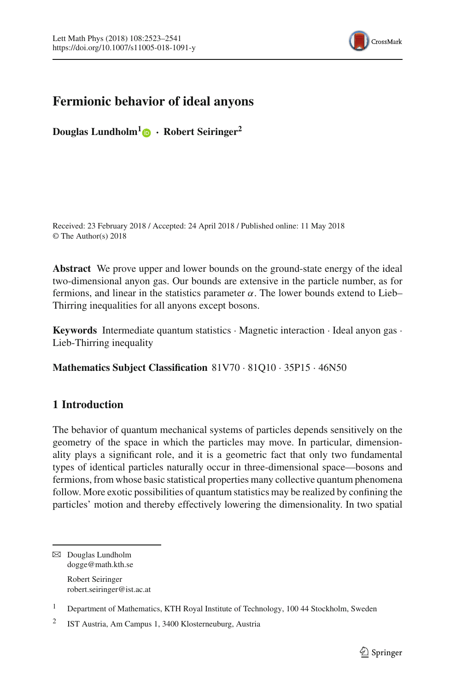

# **Fermionic behavior of ideal anyons**

**Douglas Lundholm[1](http://orcid.org/0000-0003-3456-5846) · Robert Seiringer<sup>2</sup>**

Received: 23 February 2018 / Accepted: 24 April 2018 / Published online: 11 May 2018 © The Author(s) 2018

**Abstract** We prove upper and lower bounds on the ground-state energy of the ideal two-dimensional anyon gas. Our bounds are extensive in the particle number, as for fermions, and linear in the statistics parameter  $\alpha$ . The lower bounds extend to Lieb– Thirring inequalities for all anyons except bosons.

**Keywords** Intermediate quantum statistics · Magnetic interaction · Ideal anyon gas · Lieb-Thirring inequality

**Mathematics Subject Classification** 81V70 · 81Q10 · 35P15 · 46N50

# **1 Introduction**

The behavior of quantum mechanical systems of particles depends sensitively on the geometry of the space in which the particles may move. In particular, dimensionality plays a significant role, and it is a geometric fact that only two fundamental types of identical particles naturally occur in three-dimensional space—bosons and fermions, from whose basic statistical properties many collective quantum phenomena follow. More exotic possibilities of quantum statistics may be realized by confining the particles' motion and thereby effectively lowering the dimensionality. In two spatial

 $\boxtimes$  Douglas Lundholm dogge@math.kth.se Robert Seiringer robert.seiringer@ist.ac.at

<sup>1</sup> Department of Mathematics, KTH Royal Institute of Technology, 100 44 Stockholm, Sweden

<sup>2</sup> IST Austria, Am Campus 1, 3400 Klosterneuburg, Austria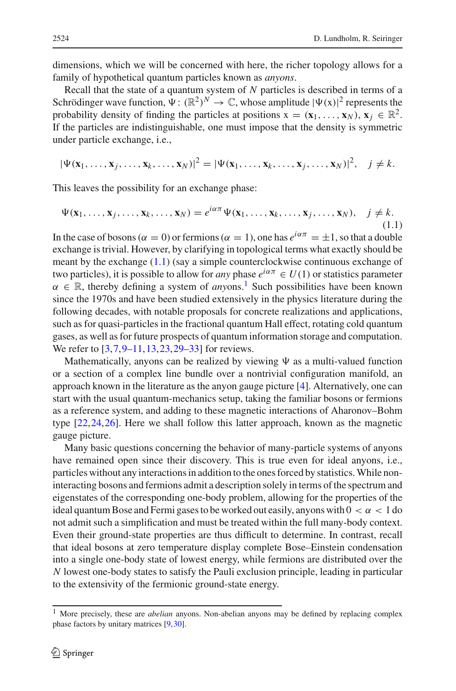dimensions, which we will be concerned with here, the richer topology allows for a family of hypothetical quantum particles known as *anyons*.

Recall that the state of a quantum system of *N* particles is described in terms of a Schrödinger wave function,  $\Psi : (\mathbb{R}^2)^N \to \mathbb{C}$ , whose amplitude  $|\Psi(x)|^2$  represents the probability density of finding the particles at positions  $\mathbf{x} = (\mathbf{x}_1, \dots, \mathbf{x}_N)$ ,  $\mathbf{x}_i \in \mathbb{R}^2$ . If the particles are indistinguishable, one must impose that the density is symmetric under particle exchange, i.e.,

$$
|\Psi(\mathbf{x}_1,\ldots,\mathbf{x}_j,\ldots,\mathbf{x}_k,\ldots,\mathbf{x}_N)|^2=|\Psi(\mathbf{x}_1,\ldots,\mathbf{x}_k,\ldots,\mathbf{x}_j,\ldots,\mathbf{x}_N)|^2, \quad j\neq k.
$$

This leaves the possibility for an exchange phase:

<span id="page-1-0"></span>
$$
\Psi(\mathbf{x}_1,\ldots,\mathbf{x}_j,\ldots,\mathbf{x}_k,\ldots,\mathbf{x}_N)=e^{i\alpha\pi}\Psi(\mathbf{x}_1,\ldots,\mathbf{x}_k,\ldots,\mathbf{x}_j,\ldots,\mathbf{x}_N),\quad j\neq k.
$$
\n(1.1)

In the case of bosons ( $\alpha = 0$ ) or fermions ( $\alpha = 1$ ), one has  $e^{i\alpha \pi} = \pm 1$ , so that a double exchange is trivial. However, by clarifying in topological terms what exactly should be meant by the exchange [\(1.1\)](#page-1-0) (say a simple counterclockwise continuous exchange of two particles), it is possible to allow for *any* phase  $e^{i\alpha \pi} \in U(1)$  or statistics parameter  $\alpha \in \mathbb{R}$ , thereby defining a system of *anyons*.<sup>1</sup> Such possibilities have been known since the 1970s and have been studied extensively in the physics literature during the following decades, with notable proposals for concrete realizations and applications, such as for quasi-particles in the fractional quantum Hall effect, rotating cold quantum gases, as well as for future prospects of quantum information storage and computation. We refer to [\[3](#page-17-0)[,7](#page-18-0),[9](#page-18-1)[–11,](#page-18-2)[13](#page-18-3)[,23](#page-18-4)[,29](#page-18-5)[–33](#page-18-6)] for reviews.

Mathematically, anyons can be realized by viewing  $\Psi$  as a multi-valued function or a section of a complex line bundle over a nontrivial configuration manifold, an approach known in the literature as the anyon gauge picture [\[4](#page-17-1)]. Alternatively, one can start with the usual quantum-mechanics setup, taking the familiar bosons or fermions as a reference system, and adding to these magnetic interactions of Aharonov–Bohm type [\[22,](#page-18-7)[24](#page-18-8)[,26](#page-18-9)]. Here we shall follow this latter approach, known as the magnetic gauge picture.

Many basic questions concerning the behavior of many-particle systems of anyons have remained open since their discovery. This is true even for ideal anyons, i.e., particles without any interactions in addition to the ones forced by statistics.While noninteracting bosons and fermions admit a description solely in terms of the spectrum and eigenstates of the corresponding one-body problem, allowing for the properties of the ideal quantum Bose and Fermi gases to be worked out easily, anyons with  $0 < \alpha < 1$  do not admit such a simplification and must be treated within the full many-body context. Even their ground-state properties are thus difficult to determine. In contrast, recall that ideal bosons at zero temperature display complete Bose–Einstein condensation into a single one-body state of lowest energy, while fermions are distributed over the *N* lowest one-body states to satisfy the Pauli exclusion principle, leading in particular to the extensivity of the fermionic ground-state energy.

<span id="page-1-1"></span><sup>1</sup> More precisely, these are *abelian* anyons. Non-abelian anyons may be defined by replacing complex phase factors by unitary matrices [\[9](#page-18-1)[,30](#page-18-10)].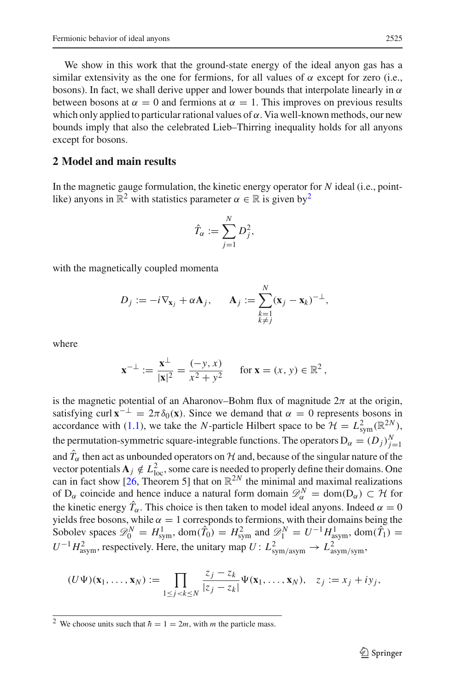We show in this work that the ground-state energy of the ideal anyon gas has a similar extensivity as the one for fermions, for all values of  $\alpha$  except for zero (i.e., bosons). In fact, we shall derive upper and lower bounds that interpolate linearly in  $\alpha$ between bosons at  $\alpha = 0$  and fermions at  $\alpha = 1$ . This improves on previous results which only applied to particular rational values of  $\alpha$ . Via well-known methods, our new bounds imply that also the celebrated Lieb–Thirring inequality holds for all anyons except for bosons.

#### **2 Model and main results**

In the magnetic gauge formulation, the kinetic energy operator for *N* ideal (i.e., pointlike) anyons in  $\mathbb{R}^2$  with statistics parameter  $\alpha \in \mathbb{R}$  is given by<sup>2</sup>

$$
\hat{T}_{\alpha} := \sum_{j=1}^N D_j^2,
$$

with the magnetically coupled momenta

$$
D_j := -i\nabla_{\mathbf{x}_j} + \alpha \mathbf{A}_j, \qquad \mathbf{A}_j := \sum_{\substack{k=1\\k \neq j}}^N (\mathbf{x}_j - \mathbf{x}_k)^{-\perp},
$$

where

$$
\mathbf{x}^{-\perp} := \frac{\mathbf{x}^{\perp}}{|\mathbf{x}|^2} = \frac{(-y, x)}{x^2 + y^2} \quad \text{for } \mathbf{x} = (x, y) \in \mathbb{R}^2,
$$

is the magnetic potential of an Aharonov–Bohm flux of magnitude  $2\pi$  at the origin, satisfying curl  $\mathbf{x}^{-\perp} = 2\pi \delta_0(\mathbf{x})$ . Since we demand that  $\alpha = 0$  represents bosons in accordance with [\(1.1\)](#page-1-0), we take the *N*-particle Hilbert space to be  $\mathcal{H} = L_{sym}^2(\mathbb{R}^{2N})$ , the permutation-symmetric square-integrable functions. The operators  $D_{\alpha} = (D_j)_{j=1}^N$ and  $T_\alpha$  then act as unbounded operators on  $H$  and, because of the singular nature of the vector potentials  $\mathbf{A}_j \notin L^2_{\text{loc}}$ , some care is needed to properly define their domains. One can in fact show  $[26,$  Theorem 5] that on  $\mathbb{R}^{2N}$  the minimal and maximal realizations of  $D_{\alpha}$  coincide and hence induce a natural form domain  $\mathscr{D}_{\alpha}^{N} = \text{dom}(D_{\alpha}) \subset \mathcal{H}$  for the kinetic energy  $T_{\alpha}$ . This choice is then taken to model ideal anyons. Indeed  $\alpha = 0$ yields free bosons, while  $\alpha = 1$  corresponds to fermions, with their domains being the Sobolev spaces  $\mathscr{D}_0^N = H^1_{sym}$ , dom $(\hat{T}_0) = H^2_{sym}$  and  $\mathscr{D}_1^N = U^{-1}H^1_{asym}$ , dom $(\hat{T}_1) =$  $U^{-1}H_{\text{asym}}^2$ , respectively. Here, the unitary map  $U: L_{\text{sym/asym}}^2 \to L_{\text{asym/sym}}^2$ ,

$$
(U\Psi)(\mathbf{x}_1,\ldots,\mathbf{x}_N):=\prod_{1\leq j
$$

<span id="page-2-0"></span><sup>&</sup>lt;sup>2</sup> We choose units such that  $\hbar = 1 = 2m$ , with *m* the particle mass.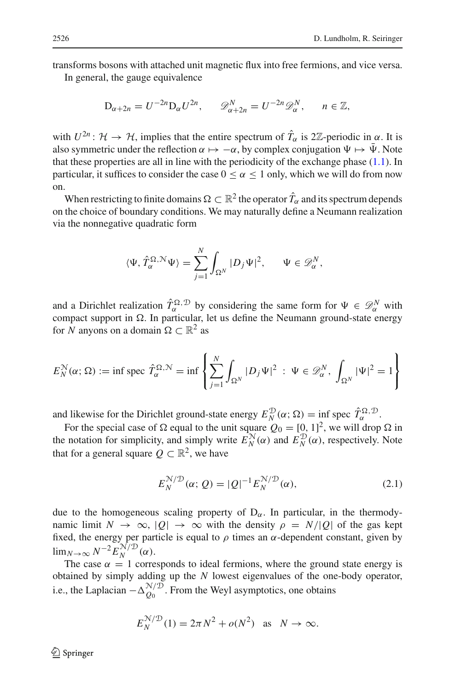transforms bosons with attached unit magnetic flux into free fermions, and vice versa.

In general, the gauge equivalence

$$
D_{\alpha+2n} = U^{-2n} D_{\alpha} U^{2n}, \qquad \mathscr{D}_{\alpha+2n}^N = U^{-2n} \mathscr{D}_{\alpha}^N, \qquad n \in \mathbb{Z},
$$

with  $U^{2n}$ :  $\mathcal{H} \to \mathcal{H}$ , implies that the entire spectrum of  $\hat{T}_{\alpha}$  is 2Z-periodic in  $\alpha$ . It is also symmetric under the reflection  $\alpha \mapsto -\alpha$ , by complex conjugation  $\Psi \mapsto \bar{\Psi}$ . Note that these properties are all in line with the periodicity of the exchange phase  $(1.1)$ . In particular, it suffices to consider the case  $0 \le \alpha \le 1$  only, which we will do from now on.

When restricting to finite domains  $\Omega \subset \mathbb{R}^2$  the operator  $\hat{T}_{\alpha}$  and its spectrum depends on the choice of boundary conditions. We may naturally define a Neumann realization via the nonnegative quadratic form

$$
\langle \Psi, \hat{T}_{\alpha}^{\Omega, \mathcal{N}} \Psi \rangle = \sum_{j=1}^{N} \int_{\Omega^N} |D_j \Psi|^2, \quad \Psi \in \mathscr{D}_{\alpha}^N,
$$

and a Dirichlet realization  $\hat{T}_{\alpha}^{\Omega,\mathcal{D}}$  by considering the same form for  $\Psi \in \mathcal{D}_{\alpha}^{N}$  with compact support in  $\Omega$ . In particular, let us define the Neumann ground-state energy for *N* anyons on a domain  $\Omega \subset \mathbb{R}^2$  as

$$
E_N^{\mathcal{N}}(\alpha; \Omega) := \inf \text{ spec } \hat{T}_{\alpha}^{\Omega, \mathcal{N}} = \inf \left\{ \sum_{j=1}^N \int_{\Omega^N} |D_j \Psi|^2 \; : \; \Psi \in \mathscr{D}_{\alpha}^N, \; \int_{\Omega^N} |\Psi|^2 = 1 \right\}
$$

and likewise for the Dirichlet ground-state energy  $E_N^{\mathcal{D}}(\alpha; \Omega) = \inf_{\alpha} \operatorname{spec} \hat{T}_{\alpha}^{\Omega, \mathcal{D}}$ .

For the special case of  $\Omega$  equal to the unit square  $Q_0 = [0, 1]^2$ , we will drop  $\Omega$  in the notation for simplicity, and simply write  $E_N^N(\alpha)$  and  $E_N^{\mathcal{D}}(\alpha)$ , respectively. Note that for a general square  $O \subset \mathbb{R}^2$ , we have

<span id="page-3-0"></span>
$$
E_N^{\mathcal{N}/\mathcal{D}}(\alpha; Q) = |Q|^{-1} E_N^{\mathcal{N}/\mathcal{D}}(\alpha),
$$
\n(2.1)

due to the homogeneous scaling property of  $D_{\alpha}$ . In particular, in the thermodynamic limit  $N \to \infty$ ,  $|Q| \to \infty$  with the density  $\rho = N/|Q|$  of the gas kept fixed, the energy per particle is equal to  $\rho$  times an  $\alpha$ -dependent constant, given by  $\lim_{N\to\infty} N^{-2} E_{N}^{\mathcal{N}/\mathcal{D}}(\alpha).$ 

The case  $\alpha = 1$  corresponds to ideal fermions, where the ground state energy is obtained by simply adding up the *N* lowest eigenvalues of the one-body operator, i.e., the Laplacian  $-\Delta_{Q_0}^{N/D}$ . From the Weyl asymptotics, one obtains

$$
E_N^{\mathcal{N}/\mathcal{D}}(1) = 2\pi N^2 + o(N^2) \quad \text{as} \quad N \to \infty.
$$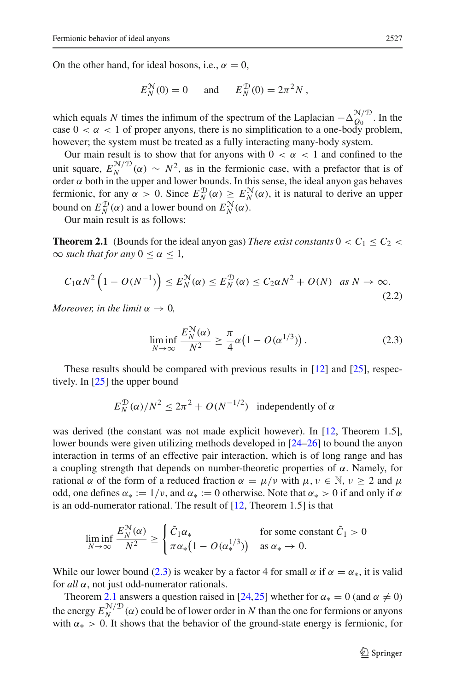On the other hand, for ideal bosons, i.e.,  $\alpha = 0$ ,

$$
E_N^{\mathcal{N}}(0) = 0 \quad \text{and} \quad E_N^{\mathcal{D}}(0) = 2\pi^2 N,
$$

which equals *N* times the infimum of the spectrum of the Laplacian  $-\Delta_{Q_0}^{\mathcal{N}/\mathcal{D}}$ . In the case  $0 < \alpha < 1$  of proper anyons, there is no simplification to a one-body problem, however; the system must be treated as a fully interacting many-body system.

Our main result is to show that for anyons with  $0 < \alpha < 1$  and confined to the unit square,  $E_N^{N/D}(\alpha) \sim N^2$ , as in the fermionic case, with a prefactor that is of order  $\alpha$  both in the upper and lower bounds. In this sense, the ideal anyon gas behaves fermionic, for any  $\alpha > 0$ . Since  $E_N^{\mathcal{D}}(\alpha) \geq E_N^{\mathcal{N}}(\alpha)$ , it is natural to derive an upper bound on  $E_N^{\mathcal{D}}(\alpha)$  and a lower bound on  $E_N^{\mathcal{N}}(\alpha)$ .

<span id="page-4-1"></span>Our main result is as follows:

**Theorem 2.1** (Bounds for the ideal anyon gas) *There exist constants*  $0 < C_1 \le C_2$  $\infty$  *such that for any*  $0 \leq \alpha \leq 1$ ,

<span id="page-4-2"></span>
$$
C_1 \alpha N^2 \left(1 - O(N^{-1})\right) \le E_N^{\mathcal{N}}(\alpha) \le E_N^{\mathcal{D}}(\alpha) \le C_2 \alpha N^2 + O(N) \quad \text{as } N \to \infty.
$$
\n(2.2)

*Moreover, in the limit*  $\alpha \rightarrow 0$ *,* 

<span id="page-4-0"></span>
$$
\liminf_{N \to \infty} \frac{E_N^N(\alpha)}{N^2} \ge \frac{\pi}{4} \alpha \left( 1 - O(\alpha^{1/3}) \right). \tag{2.3}
$$

These results should be compared with previous results in [\[12](#page-18-11)] and [\[25](#page-18-12)], respectively. In [\[25](#page-18-12)] the upper bound

$$
E_N^{\mathcal{D}}(\alpha)/N^2 \le 2\pi^2 + O(N^{-1/2})
$$
 independently of  $\alpha$ 

was derived (the constant was not made explicit however). In [\[12,](#page-18-11) Theorem 1.5], lower bounds were given utilizing methods developed in [\[24](#page-18-8)[–26\]](#page-18-9) to bound the anyon interaction in terms of an effective pair interaction, which is of long range and has a coupling strength that depends on number-theoretic properties of  $\alpha$ . Namely, for rational  $\alpha$  of the form of a reduced fraction  $\alpha = \mu/\nu$  with  $\mu, \nu \in \mathbb{N}, \nu \geq 2$  and  $\mu$ odd, one defines  $\alpha_* := 1/\nu$ , and  $\alpha_* := 0$  otherwise. Note that  $\alpha_* > 0$  if and only if  $\alpha$ is an odd-numerator rational. The result of [\[12,](#page-18-11) Theorem 1.5] is that

$$
\liminf_{N \to \infty} \frac{E_N^{\mathcal{N}}(\alpha)}{N^2} \ge \begin{cases} \tilde{C}_1 \alpha_* & \text{for some constant } \tilde{C}_1 > 0 \\ \pi \alpha_*(1 - O(\alpha_*^{1/3})) & \text{as } \alpha_* \to 0. \end{cases}
$$

While our lower bound [\(2.3\)](#page-4-0) is weaker by a factor 4 for small  $\alpha$  if  $\alpha = \alpha_*$ , it is valid for *all* α, not just odd-numerator rationals.

Theorem [2.1](#page-4-1) answers a question raised in [\[24](#page-18-8)[,25](#page-18-12)] whether for  $\alpha_* = 0$  (and  $\alpha \neq 0$ ) the energy  $E_N^{\mathcal{N}/\mathcal{D}}(\alpha)$  could be of lower order in *N* than the one for fermions or anyons with  $\alpha_* > 0$ . It shows that the behavior of the ground-state energy is fermionic, for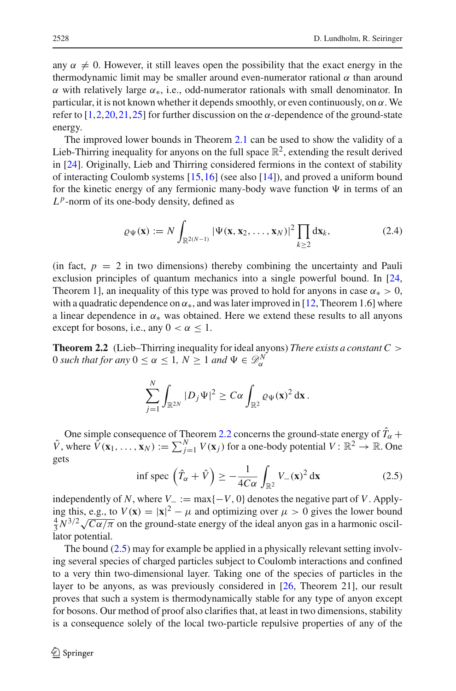any  $\alpha \neq 0$ . However, it still leaves open the possibility that the exact energy in the thermodynamic limit may be smaller around even-numerator rational  $\alpha$  than around α with relatively large α∗, i.e., odd-numerator rationals with small denominator. In particular, it is not known whether it depends smoothly, or even continuously, on  $\alpha$ . We refer to  $[1,2,20,21,25]$  $[1,2,20,21,25]$  $[1,2,20,21,25]$  $[1,2,20,21,25]$  $[1,2,20,21,25]$  $[1,2,20,21,25]$  for further discussion on the  $\alpha$ -dependence of the ground-state energy.

The improved lower bounds in Theorem [2.1](#page-4-1) can be used to show the validity of a Lieb-Thirring inequality for anyons on the full space  $\mathbb{R}^2$ , extending the result derived in [\[24\]](#page-18-8). Originally, Lieb and Thirring considered fermions in the context of stability of interacting Coulomb systems [\[15,](#page-18-15)[16\]](#page-18-16) (see also [\[14](#page-18-17)]), and proved a uniform bound for the kinetic energy of any fermionic many-body wave function  $\Psi$  in terms of an  $L^p$ -norm of its one-body density, defined as

<span id="page-5-2"></span>
$$
\varrho_{\Psi}(\mathbf{x}) := N \int_{\mathbb{R}^{2(N-1)}} |\Psi(\mathbf{x}, \mathbf{x}_2, \dots, \mathbf{x}_N)|^2 \prod_{k \ge 2} d\mathbf{x}_k, \tag{2.4}
$$

(in fact,  $p = 2$  in two dimensions) thereby combining the uncertainty and Pauli exclusion principles of quantum mechanics into a single powerful bound. In [\[24,](#page-18-8) Theorem 1], an inequality of this type was proved to hold for anyons in case  $\alpha_* > 0$ , with a quadratic dependence on  $\alpha_{*}$ , and was later improved in [\[12](#page-18-11), Theorem 1.6] where a linear dependence in  $\alpha_*$  was obtained. Here we extend these results to all anyons except for bosons, i.e., any  $0 < \alpha \leq 1$ .

<span id="page-5-0"></span>**Theorem 2.2** (Lieb–Thirring inequality for ideal anyons) *There exists a constant C* > 0 *such that for any*  $0 \le \alpha \le 1$ ,  $N \ge 1$  *and*  $\Psi \in \mathscr{D}_{\alpha}^{N}$ 

$$
\sum_{j=1}^N \int_{\mathbb{R}^{2N}} |D_j \Psi|^2 \geq C\alpha \int_{\mathbb{R}^2} \varrho \Psi(\mathbf{x})^2 d\mathbf{x}.
$$

One simple consequence of Theorem [2.2](#page-5-0) concerns the ground-state energy of  $T_\alpha$  +  $\hat{V}$ , where  $\hat{V}(\mathbf{x}_1,\ldots,\mathbf{x}_N) := \sum_{j=1}^N V(\mathbf{x}_j)$  for a one-body potential  $V: \mathbb{R}^2 \to \mathbb{R}$ . One gets

<span id="page-5-1"></span>
$$
\inf \operatorname{spec} \left( \hat{T}_{\alpha} + \hat{V} \right) \ge -\frac{1}{4C\alpha} \int_{\mathbb{R}^2} V_{-}(\mathbf{x})^2 d\mathbf{x} \tag{2.5}
$$

independently of *N*, where  $V_-\coloneq \max\{-V, 0\}$  denotes the negative part of *V*. Applying this, e.g., to  $V(\mathbf{x}) = |\mathbf{x}|^2 - \mu$  and optimizing over  $\mu > 0$  gives the lower bound  $\frac{4}{3} \overline{N}^{3/2} \sqrt{\overline{C}\alpha/\pi}$  on the ground-state energy of the ideal anyon gas in a harmonic oscillator potential.

The bound [\(2.5\)](#page-5-1) may for example be applied in a physically relevant setting involving several species of charged particles subject to Coulomb interactions and confined to a very thin two-dimensional layer. Taking one of the species of particles in the layer to be anyons, as was previously considered in [\[26,](#page-18-9) Theorem 21], our result proves that such a system is thermodynamically stable for any type of anyon except for bosons. Our method of proof also clarifies that, at least in two dimensions, stability is a consequence solely of the local two-particle repulsive properties of any of the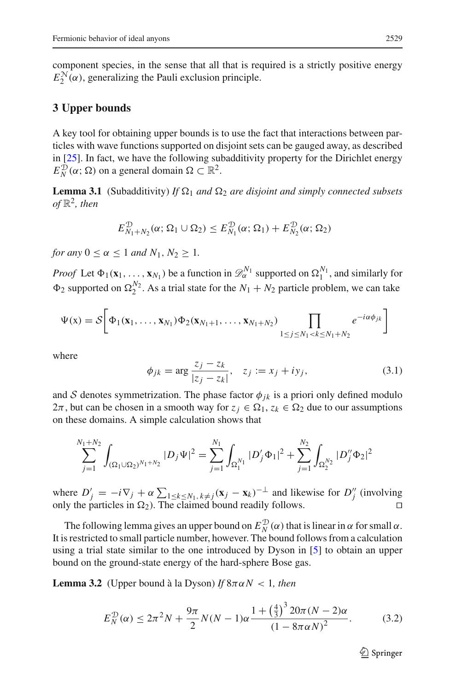component species, in the sense that all that is required is a strictly positive energy  $E_2^{\mathcal{N}}(\alpha)$ , generalizing the Pauli exclusion principle.

# **3 Upper bounds**

A key tool for obtaining upper bounds is to use the fact that interactions between particles with wave functions supported on disjoint sets can be gauged away, as described in [\[25](#page-18-12)]. In fact, we have the following subadditivity property for the Dirichlet energy  $E_N^{\mathcal{D}}(\alpha; \Omega)$  on a general domain  $\Omega \subset \mathbb{R}^2$ .

<span id="page-6-1"></span>**Lemma 3.1** (Subadditivity) *If*  $\Omega_1$  *and*  $\Omega_2$  *are disjoint and simply connected subsets*  $of \mathbb{R}^2$ , then

$$
E_{N_1+N_2}^{\mathcal{D}}(\alpha;\Omega_1\cup\Omega_2)\leq E_{N_1}^{\mathcal{D}}(\alpha;\Omega_1)+E_{N_2}^{\mathcal{D}}(\alpha;\Omega_2)
$$

*for any*  $0 < \alpha \le 1$  *and*  $N_1, N_2 \ge 1$ *.* 

*Proof* Let  $\Phi_1(\mathbf{x}_1, ..., \mathbf{x}_{N_1})$  be a function in  $\mathcal{D}_{\alpha}^{N_1}$  supported on  $\Omega_1^{N_1}$ , and similarly for  $\Phi_2$  supported on  $\Omega_2^{N_2}$ . As a trial state for the  $N_1 + N_2$  particle problem, we can take

$$
\Psi(x) = \mathcal{S}\bigg[\Phi_1(x_1,\ldots,x_{N_1})\Phi_2(x_{N_1+1},\ldots,x_{N_1+N_2})\prod_{1 \leq j \leq N_1 < k \leq N_1+N_2}e^{-i\alpha\phi_{jk}}\bigg]
$$

where

<span id="page-6-3"></span>
$$
\phi_{jk} = \arg \frac{z_j - z_k}{|z_j - z_k|}, \quad z_j := x_j + iy_j,
$$
\n(3.1)

and *S* denotes symmetrization. The phase factor  $\phi_{ik}$  is a priori only defined modulo  $2\pi$ , but can be chosen in a smooth way for  $z_j \in \Omega_1$ ,  $z_k \in \Omega_2$  due to our assumptions on these domains. A simple calculation shows that

$$
\sum_{j=1}^{N_1+N_2} \int_{(\Omega_1 \cup \Omega_2)^{N_1+N_2}} |D_j \Psi|^2 = \sum_{j=1}^{N_1} \int_{\Omega_1^{N_1}} |D'_j \Phi_1|^2 + \sum_{j=1}^{N_2} \int_{\Omega_2^{N_2}} |D''_j \Phi_2|^2
$$

where  $D'_j = -i\nabla_j + \alpha \sum_{1 \le k \le N_1, k \ne j} (x_j - x_k)^{-\perp}$  and likewise for  $D''_j$  (involving only the particles in  $\Omega_2$ ). The claimed bound readily follows.

The following lemma gives an upper bound on  $E_N^{\mathcal{D}}(\alpha)$  that is linear in  $\alpha$  for small  $\alpha$ . It is restricted to small particle number, however. The bound follows from a calculation using a trial state similar to the one introduced by Dyson in [\[5\]](#page-17-4) to obtain an upper bound on the ground-state energy of the hard-sphere Bose gas.

<span id="page-6-2"></span>**Lemma 3.2** (Upper bound à la Dyson) *If*  $8\pi \alpha N < 1$ *, then* 

<span id="page-6-0"></span>
$$
E_N^{\mathcal{D}}(\alpha) \le 2\pi^2 N + \frac{9\pi}{2} N(N-1)\alpha \frac{1 + \left(\frac{4}{3}\right)^3 20\pi (N-2)\alpha}{\left(1 - 8\pi\alpha N\right)^2}.
$$
 (3.2)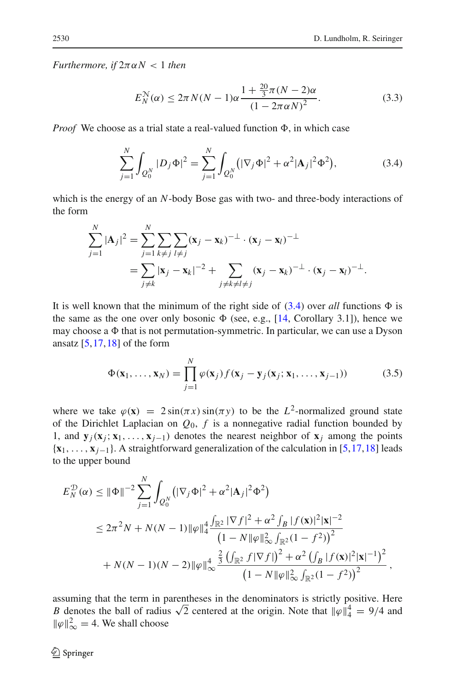*Furthermore, if*  $2\pi \alpha N < 1$  *then* 

<span id="page-7-1"></span>
$$
E_N^{\mathcal{N}}(\alpha) \le 2\pi N(N-1)\alpha \frac{1 + \frac{20}{3}\pi (N-2)\alpha}{(1 - 2\pi\alpha N)^2}.
$$
 (3.3)

*Proof* We choose as a trial state a real-valued function  $\Phi$ , in which case

<span id="page-7-0"></span>
$$
\sum_{j=1}^{N} \int_{Q_0^N} |D_j \Phi|^2 = \sum_{j=1}^{N} \int_{Q_0^N} (|\nabla_j \Phi|^2 + \alpha^2 |\mathbf{A}_j|^2 \Phi^2), \tag{3.4}
$$

which is the energy of an *N*-body Bose gas with two- and three-body interactions of the form

$$
\sum_{j=1}^{N} |\mathbf{A}_{j}|^{2} = \sum_{j=1}^{N} \sum_{k \neq j} \sum_{l \neq j} (\mathbf{x}_{j} - \mathbf{x}_{k})^{-\perp} \cdot (\mathbf{x}_{j} - \mathbf{x}_{l})^{-\perp}
$$
  
= 
$$
\sum_{j \neq k} |\mathbf{x}_{j} - \mathbf{x}_{k}|^{-2} + \sum_{j \neq k \neq l \neq j} (\mathbf{x}_{j} - \mathbf{x}_{k})^{-\perp} \cdot (\mathbf{x}_{j} - \mathbf{x}_{l})^{-\perp}.
$$

It is well known that the minimum of the right side of  $(3.4)$  over *all* functions  $\Phi$  is the same as the one over only bosonic  $\Phi$  (see, e.g., [\[14,](#page-18-17) Corollary 3.1]), hence we may choose a  $\Phi$  that is not permutation-symmetric. In particular, we can use a Dyson ansatz  $[5, 17, 18]$  $[5, 17, 18]$  $[5, 17, 18]$  $[5, 17, 18]$  $[5, 17, 18]$  of the form

<span id="page-7-2"></span>
$$
\Phi(\mathbf{x}_1,\ldots,\mathbf{x}_N)=\prod_{j=1}^N\varphi(\mathbf{x}_j)f(\mathbf{x}_j-\mathbf{y}_j(\mathbf{x}_j;\mathbf{x}_1,\ldots,\mathbf{x}_{j-1}))
$$
(3.5)

where we take  $\varphi(\mathbf{x}) = 2 \sin(\pi x) \sin(\pi y)$  to be the *L*<sup>2</sup>-normalized ground state of the Dirichlet Laplacian on  $Q_0$ ,  $f$  is a nonnegative radial function bounded by 1, and  $\mathbf{y}_i(\mathbf{x}_i; \mathbf{x}_1, \dots, \mathbf{x}_{i-1})$  denotes the nearest neighbor of  $\mathbf{x}_i$  among the points {**x**1,..., **x***j*−1}. A straightforward generalization of the calculation in [\[5,](#page-17-4)[17](#page-18-18)[,18](#page-18-19)] leads to the upper bound

$$
E_N^{\mathcal{D}}(\alpha) \leq \|\Phi\|^{-2} \sum_{j=1}^N \int_{Q_0^N} \left( |\nabla_j \Phi|^2 + \alpha^2 |\mathbf{A}_j|^2 \Phi^2 \right)
$$
  
\n
$$
\leq 2\pi^2 N + N(N-1) \|\varphi\|_4^4 \frac{\int_{\mathbb{R}^2} |\nabla f|^2 + \alpha^2 \int_B |f(\mathbf{x})|^2 |\mathbf{x}|^{-2}}{\left(1 - N \|\varphi\|_\infty^2 \int_{\mathbb{R}^2} (1 - f^2) \right)^2}
$$
  
\n
$$
+ N(N-1)(N-2) \|\varphi\|_\infty^4 \frac{\frac{2}{3} \left( \int_{\mathbb{R}^2} f |\nabla f| \right)^2 + \alpha^2 \left( \int_B |f(\mathbf{x})|^2 |\mathbf{x}|^{-1} \right)^2}{\left(1 - N \|\varphi\|_\infty^2 \int_{\mathbb{R}^2} (1 - f^2) \right)^2},
$$

assuming that the term in parentheses in the denominators is strictly positive. Here *B* denotes the ball of radius  $\sqrt{2}$  centered at the origin. Note that  $\|\varphi\|_4^4 = 9/4$  and  $\|\varphi\|_{\infty}^2 = 4$ . We shall choose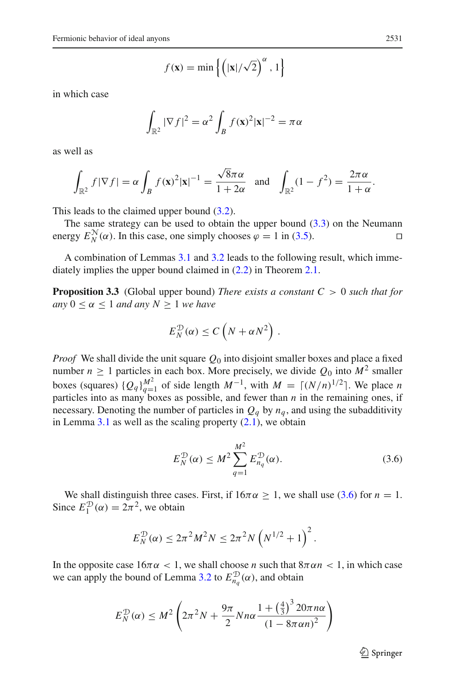$$
f(\mathbf{x}) = \min\left\{ \left( |\mathbf{x}| / \sqrt{2} \right)^{\alpha}, 1 \right\}
$$

in which case

$$
\int_{\mathbb{R}^2} |\nabla f|^2 = \alpha^2 \int_B f(\mathbf{x})^2 |\mathbf{x}|^{-2} = \pi \alpha
$$

as well as

$$
\int_{\mathbb{R}^2} f|\nabla f| = \alpha \int_B f(\mathbf{x})^2 |\mathbf{x}|^{-1} = \frac{\sqrt{8}\pi \alpha}{1 + 2\alpha} \quad \text{and} \quad \int_{\mathbb{R}^2} (1 - f^2) = \frac{2\pi \alpha}{1 + \alpha}.
$$

This leads to the claimed upper bound [\(3.2\)](#page-6-0).

The same strategy can be used to obtain the upper bound  $(3.3)$  on the Neumann energy  $E_N^{\mathcal{N}}(\alpha)$ . In this case, one simply chooses  $\varphi = 1$  in [\(3.5\)](#page-7-2).

A combination of Lemmas [3.1](#page-6-1) and [3.2](#page-6-2) leads to the following result, which immediately implies the upper bound claimed in [\(2.2\)](#page-4-2) in Theorem [2.1.](#page-4-1)

**Proposition 3.3** (Global upper bound) *There exists a constant C* > 0 *such that for any*  $0 \le \alpha \le 1$  *and any*  $N \ge 1$  *we have* 

$$
E_N^{\mathcal{D}}(\alpha) \leq C\left(N + \alpha N^2\right).
$$

*Proof* We shall divide the unit square  $Q_0$  into disjoint smaller boxes and place a fixed number  $n \ge 1$  particles in each box. More precisely, we divide  $Q_0$  into  $M^2$  smaller boxes (squares)  ${Q_q}_{q=1}^{M^2}$  of side length  $M^{-1}$ , with  $M = \lceil (N/n)^{1/2} \rceil$ . We place *n* particles into as many boxes as possible, and fewer than  $n$  in the remaining ones, if necessary. Denoting the number of particles in  $Q_q$  by  $n_q$ , and using the subadditivity in Lemma  $3.1$  as well as the scaling property  $(2.1)$ , we obtain

<span id="page-8-0"></span>
$$
E_N^{\mathcal{D}}(\alpha) \le M^2 \sum_{q=1}^{M^2} E_{n_q}^{\mathcal{D}}(\alpha). \tag{3.6}
$$

We shall distinguish three cases. First, if  $16\pi\alpha \ge 1$ , we shall use [\(3.6\)](#page-8-0) for  $n = 1$ . Since  $E_1^{\mathcal{D}}(\alpha) = 2\pi^2$ , we obtain

$$
E_N^{\mathcal{D}}(\alpha) \le 2\pi^2 M^2 N \le 2\pi^2 N \left(N^{1/2} + 1\right)^2.
$$

In the opposite case  $16\pi\alpha < 1$ , we shall choose *n* such that  $8\pi\alpha n < 1$ , in which case we can apply the bound of Lemma [3.2](#page-6-2) to  $E_{n_q}^{\mathcal{D}}(\alpha)$ , and obtain

$$
E_N^{\mathcal{D}}(\alpha) \le M^2 \left(2\pi^2 N + \frac{9\pi}{2} N n \alpha \frac{1 + \left(\frac{4}{3}\right)^3 20\pi n \alpha}{\left(1 - 8\pi \alpha n\right)^2}\right)
$$

 $\mathcal{L}$  Springer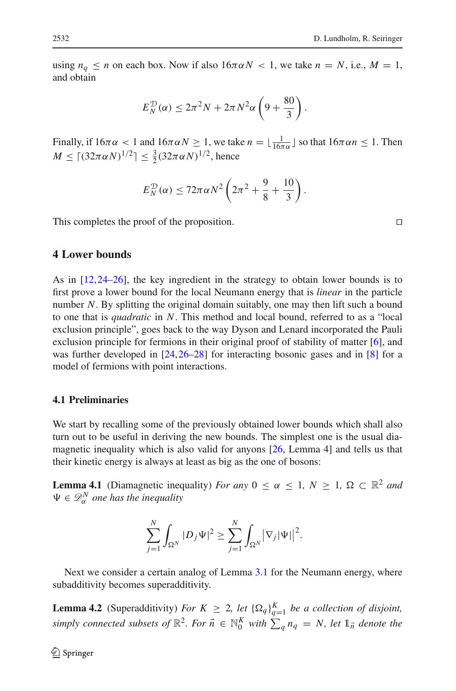using  $n_q \le n$  on each box. Now if also  $16\pi \alpha N < 1$ , we take  $n = N$ , i.e.,  $M = 1$ , and obtain

$$
E_N^{\mathcal{D}}(\alpha) \leq 2\pi^2 N + 2\pi N^2 \alpha \left(9 + \frac{80}{3}\right).
$$

Finally, if  $16\pi\alpha < 1$  and  $16\pi\alpha N \ge 1$ , we take  $n = \lfloor \frac{1}{16\pi\alpha} \rfloor$  so that  $16\pi\alpha n \le 1$ . Then *M* ≤  $\lceil (32παN)^{1/2} \rceil$  ≤  $\frac{3}{2} (32παN)^{1/2}$ , hence

$$
E_N^{\mathcal{D}}(\alpha) \leq 72\pi \alpha N^2 \left(2\pi^2 + \frac{9}{8} + \frac{10}{3}\right).
$$

This completes the proof of the proposition.

## **4 Lower bounds**

As in [\[12,](#page-18-11)[24](#page-18-8)[–26\]](#page-18-9), the key ingredient in the strategy to obtain lower bounds is to first prove a lower bound for the local Neumann energy that is *linear* in the particle number *N*. By splitting the original domain suitably, one may then lift such a bound to one that is *quadratic* in *N*. This method and local bound, referred to as a "local exclusion principle", goes back to the way Dyson and Lenard incorporated the Pauli exclusion principle for fermions in their original proof of stability of matter [\[6](#page-17-5)], and was further developed in [\[24,](#page-18-8)[26](#page-18-9)[–28\]](#page-18-20) for interacting bosonic gases and in [\[8\]](#page-18-21) for a model of fermions with point interactions.

#### **4.1 Preliminaries**

We start by recalling some of the previously obtained lower bounds which shall also turn out to be useful in deriving the new bounds. The simplest one is the usual diamagnetic inequality which is also valid for anyons [\[26,](#page-18-9) Lemma 4] and tells us that their kinetic energy is always at least as big as the one of bosons:

<span id="page-9-1"></span>**Lemma 4.1** (Diamagnetic inequality) *For any*  $0 \le \alpha \le 1$ ,  $N \ge 1$ ,  $\Omega \subset \mathbb{R}^2$  *and*  $\Psi \in \mathcal{D}_{\alpha}^N$  one has the inequality

$$
\sum_{j=1}^N \int_{\Omega^N} |D_j \Psi|^2 \geq \sum_{j=1}^N \int_{\Omega^N} |\nabla_j |\Psi||^2.
$$

<span id="page-9-0"></span>Next we consider a certain analog of Lemma [3.1](#page-6-1) for the Neumann energy, where subadditivity becomes superadditivity.

**Lemma 4.2** (Superadditivity) *For*  $K \geq 2$ , *let*  $\{\Omega_q\}_{q=1}^K$  *be a collection of disjoint, simply connected subsets of*  $\mathbb{R}^2$ *. For*  $\vec{n} \in \mathbb{N}_0^K$  *with*  $\sum_q n_q = N$ *, let*  $\mathbb{1}_{\vec{n}}$  *denote the*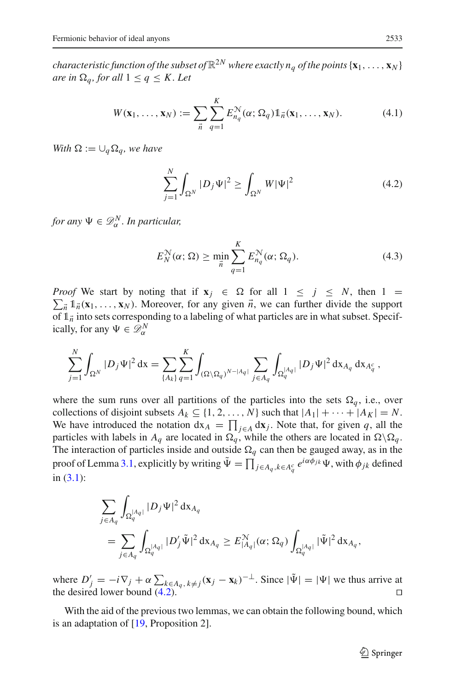*characteristic function of the subset of*  $\mathbb{R}^{2N}$  *where exactly n<sub>a</sub> of the points*  $\{x_1, \ldots, x_N\}$ *are in*  $\Omega_a$ *, for all*  $1 \leq q \leq K$ *. Let* 

<span id="page-10-1"></span>
$$
W(\mathbf{x}_1,\ldots,\mathbf{x}_N) := \sum_{\vec{n}} \sum_{q=1}^K E_{n_q}^{\mathcal{N}}(\alpha; \Omega_q) \mathbb{1}_{\vec{n}}(\mathbf{x}_1,\ldots,\mathbf{x}_N). \tag{4.1}
$$

*With*  $\Omega := \bigcup_{a} \Omega_a$ *, we have* 

<span id="page-10-0"></span>
$$
\sum_{j=1}^{N} \int_{\Omega^{N}} |D_{j} \Psi|^{2} \ge \int_{\Omega^{N}} W |\Psi|^{2}
$$
 (4.2)

*for any*  $\Psi \in \mathscr{D}_{\alpha}^N$ . In particular,

<span id="page-10-3"></span>
$$
E_N^{\mathcal{N}}(\alpha; \Omega) \ge \min_{\vec{n}} \sum_{q=1}^K E_{n_q}^{\mathcal{N}}(\alpha; \Omega_q). \tag{4.3}
$$

*Proof* We start by noting that if  $\mathbf{x}_j \in \Omega$  for all  $1 \leq j \leq N$ , then  $1 =$  $\sum_{n=1}^{\infty} \mathbb{1}_{n}(\mathbf{x}_{1},...,\mathbf{x}_{N})$ . Moreover, for any given  $\vec{n}$ , we can further divide the support of  $1\overrightarrow{n}$  into sets corresponding to a labeling of what particles are in what subset. Specifically, for any  $\Psi \in \mathscr{D}_{\alpha}^{N}$ 

$$
\sum_{j=1}^N \int_{\Omega^N} |D_j \Psi|^2 \, \mathrm{d} \mathbf{x} = \sum_{\{A_k\}} \sum_{q=1}^K \int_{(\Omega \setminus \Omega_q)^{N-|A_q|}} \sum_{j \in A_q} \int_{\Omega_q^{|A_q|}} |D_j \Psi|^2 \, \mathrm{d} \mathbf{x}_{A_q} \, \mathrm{d} \mathbf{x}_{A_q^c},
$$

where the sum runs over all partitions of the particles into the sets  $\Omega_q$ , i.e., over collections of disjoint subsets  $A_k \subseteq \{1, 2, ..., N\}$  such that  $|A_1| + \cdots + |A_K| = N$ . We have introduced the notation  $dx_A = \prod_{j \in A} dx_j$ . Note that, for given *q*, all the particles with labels in  $A_q$  are located in  $\Omega_q$ , while the others are located in  $\Omega \backslash \Omega_q$ . The interaction of particles inside and outside  $\Omega_q$  can then be gauged away, as in the proof of Lemma [3.1,](#page-6-1) explicitly by writing  $\tilde{\Psi} = \prod_{j \in A_q, k \in A_q^c} e^{i\alpha \phi_{jk}} \Psi$ , with  $\phi_{jk}$  defined in  $(3.1)$ :

$$
\begin{split} &\sum_{j\in A_q}\int_{\Omega_q^{|A_q|}}|D_j\Psi|^2\,\mathrm{d}\mathbf{x}_{A_q}\\ &=amp;\sum_{j\in A_q}\int_{\Omega_q^{|A_q|}}|D_j'\tilde\Psi|^2\,\mathrm{d}\mathbf{x}_{A_q}\geq E^\mathcal{N}_{|A_q|}(\alpha;\Omega_q)\int_{\Omega_q^{|A_q|}}|\tilde\Psi|^2\,\mathrm{d}\mathbf{x}_{A_q},\end{split}
$$

where  $D'_j = -i\nabla_j + \alpha \sum_{k \in A_q, k \neq j} (\mathbf{x}_j - \mathbf{x}_k)^{-\perp}$ . Since  $|\Psi| = |\Psi|$  we thus arrive at the desired lower bound  $(4.2)$ .

<span id="page-10-2"></span>With the aid of the previous two lemmas, we can obtain the following bound, which is an adaptation of [\[19,](#page-18-22) Proposition 2].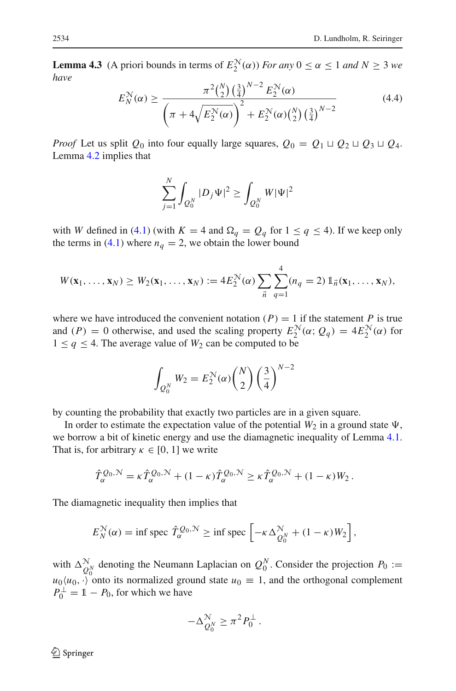**Lemma 4.3** (A priori bounds in terms of  $E_2^N(\alpha)$ ) *For any*  $0 \le \alpha \le 1$  *and*  $N \ge 3$  *we have*

<span id="page-11-0"></span>
$$
E_N^{\mathcal{N}}(\alpha) \ge \frac{\pi^2 {N \choose 2} \left(\frac{3}{4}\right)^{N-2} E_2^{\mathcal{N}}(\alpha)}{\left(\pi + 4\sqrt{E_2^{\mathcal{N}}(\alpha)}\right)^2 + E_2^{\mathcal{N}}(\alpha) {N \choose 2} \left(\frac{3}{4}\right)^{N-2}}
$$
(4.4)

*Proof* Let us split  $Q_0$  into four equally large squares,  $Q_0 = Q_1 \sqcup Q_2 \sqcup Q_3 \sqcup Q_4$ . Lemma [4.2](#page-9-0) implies that

$$
\sum_{j=1}^N \int_{Q_0^N} |D_j \Psi|^2 \ge \int_{Q_0^N} W |\Psi|^2
$$

with *W* defined in [\(4.1\)](#page-10-1) (with  $K = 4$  and  $\Omega_q = Q_q$  for  $1 \le q \le 4$ ). If we keep only the terms in [\(4.1\)](#page-10-1) where  $n_q = 2$ , we obtain the lower bound

$$
W(\mathbf{x}_1,\ldots,\mathbf{x}_N)\geq W_2(\mathbf{x}_1,\ldots,\mathbf{x}_N):=4E_2^{\mathcal{N}}(\alpha)\sum_{\vec{n}}\sum_{q=1}^4(n_q=2)\mathbb{1}_{\vec{n}}(\mathbf{x}_1,\ldots,\mathbf{x}_N),
$$

where we have introduced the convenient notation  $(P) = 1$  if the statement *P* is true and  $(P) = 0$  otherwise, and used the scaling property  $E_2^N(\alpha; Q_q) = 4E_2^N(\alpha)$  for  $1 \leq q \leq 4$ . The average value of  $W_2$  can be computed to be

$$
\int_{Q_0^N} W_2 = E_2^N(\alpha) {N \choose 2} \left(\frac{3}{4}\right)^{N-2}
$$

by counting the probability that exactly two particles are in a given square.

In order to estimate the expectation value of the potential  $W_2$  in a ground state  $\Psi$ , we borrow a bit of kinetic energy and use the diamagnetic inequality of Lemma [4.1.](#page-9-1) That is, for arbitrary  $\kappa \in [0, 1]$  we write

$$
\hat{T}_{\alpha}^{\mathcal{Q}_0,\mathcal{N}} = \kappa \hat{T}_{\alpha}^{\mathcal{Q}_0,\mathcal{N}} + (1-\kappa)\hat{T}_{\alpha}^{\mathcal{Q}_0,\mathcal{N}} \geq \kappa \hat{T}_{\alpha}^{\mathcal{Q}_0,\mathcal{N}} + (1-\kappa)W_2.
$$

The diamagnetic inequality then implies that

$$
E_N^{\mathcal{N}}(\alpha) = \inf \operatorname{spec} \hat{T}_{\alpha}^{\mathcal{Q}_0, \mathcal{N}} \ge \inf \operatorname{spec} \left[ -\kappa \Delta_{Q_0^N}^{\mathcal{N}} + (1 - \kappa) W_2 \right],
$$

with  $\Delta_{Q_0^N}^{\mathcal{N}}$  denoting the Neumann Laplacian on  $Q_0^N$ . Consider the projection  $P_0 :=$  $u_0\langle u_0, \cdot \rangle$  onto its normalized ground state  $u_0 \equiv 1$ , and the orthogonal complement  $P_0^{\perp} = 1 - P_0$ , for which we have

$$
-\Delta_{Q_0^N}^{\mathcal{N}} \geq \pi^2 P_0^{\perp}.
$$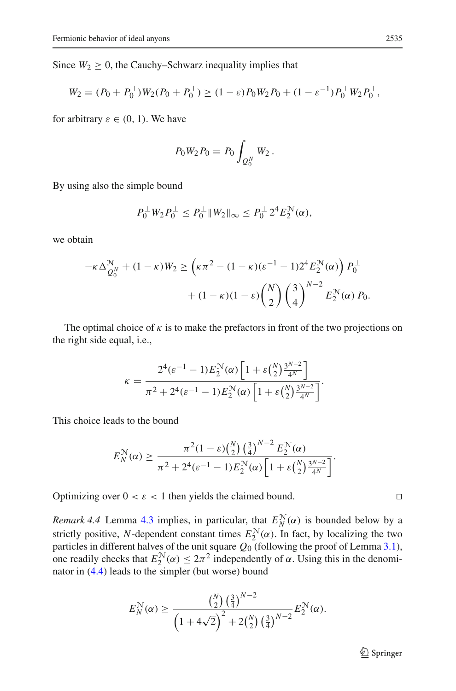Since  $W_2 \geq 0$ , the Cauchy–Schwarz inequality implies that

$$
W_2 = (P_0 + P_0^{\perp})W_2(P_0 + P_0^{\perp}) \ge (1 - \varepsilon)P_0W_2P_0 + (1 - \varepsilon^{-1})P_0^{\perp}W_2P_0^{\perp},
$$

for arbitrary  $\varepsilon \in (0, 1)$ . We have

$$
P_0 W_2 P_0 = P_0 \int_{Q_0^N} W_2.
$$

By using also the simple bound

$$
P_0^{\perp} W_2 P_0^{\perp} \le P_0^{\perp} \| W_2 \|_{\infty} \le P_0^{\perp} 2^4 E_2^{\mathcal{N}}(\alpha),
$$

we obtain

$$
-\kappa \Delta_{Q_0^N}^N + (1 - \kappa)W_2 \ge \left(\kappa \pi^2 - (1 - \kappa)\varepsilon^{-1} - 12^4 E_2^N(\alpha)\right) P_0^{\perp}
$$

$$
+ (1 - \kappa)(1 - \varepsilon) \binom{N}{2} \left(\frac{3}{4}\right)^{N-2} E_2^N(\alpha) P_0.
$$

The optimal choice of  $\kappa$  is to make the prefactors in front of the two projections on the right side equal, i.e.,

$$
\kappa = \frac{2^4(\varepsilon^{-1} - 1)E_2^N(\alpha)\left[1 + \varepsilon \binom{N}{2} \frac{3^{N-2}}{4^N}\right]}{\pi^2 + 2^4(\varepsilon^{-1} - 1)E_2^N(\alpha)\left[1 + \varepsilon \binom{N}{2} \frac{3^{N-2}}{4^N}\right]}.
$$

This choice leads to the bound

$$
E_N^{\mathcal{N}}(\alpha) \ge \frac{\pi^2 (1 - \varepsilon) {N \choose 2} \left(\frac{3}{4}\right)^{N-2} E_2^{\mathcal{N}}(\alpha)}{\pi^2 + 2^4 (\varepsilon^{-1} - 1) E_2^{\mathcal{N}}(\alpha) \left[1 + \varepsilon {N \choose 2} \frac{3^{N-2}}{4^N}\right]}.
$$

Optimizing over  $0 < \varepsilon < 1$  then yields the claimed bound.

*Remark 4.4* Lemma [4.3](#page-10-2) implies, in particular, that  $E_N^{\mathcal{N}}(\alpha)$  is bounded below by a strictly positive, *N*-dependent constant times  $E_2^{\mathcal{N}}(\alpha)$ . In fact, by localizing the two particles in different halves of the unit square  $Q_0$  (following the proof of Lemma [3.1\)](#page-6-1), one readily checks that  $E_2^{\mathcal{N}}(\alpha) \leq 2\pi^2$  independently of  $\alpha$ . Using this in the denominator in [\(4.4\)](#page-11-0) leads to the simpler (but worse) bound

$$
E_N^{\mathcal{N}}(\alpha) \ge \frac{\binom{N}{2} \left(\frac{3}{4}\right)^{N-2}}{\left(1 + 4\sqrt{2}\right)^2 + 2\binom{N}{2} \left(\frac{3}{4}\right)^{N-2}} E_2^{\mathcal{N}}(\alpha).
$$

$$
\Box
$$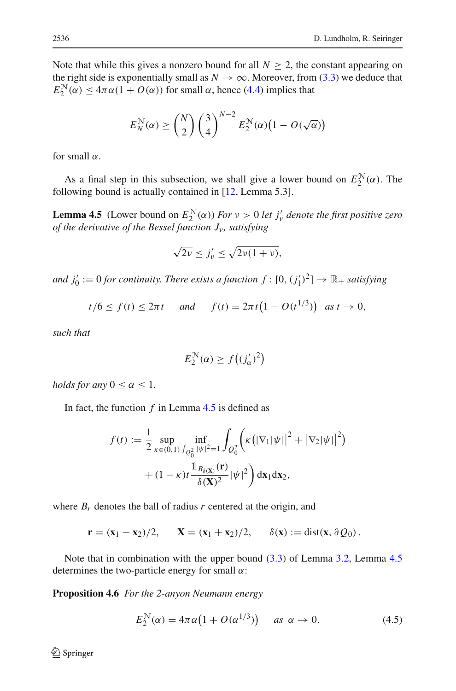Note that while this gives a nonzero bound for all  $N \geq 2$ , the constant appearing on the right side is exponentially small as  $N \to \infty$ . Moreover, from [\(3.3\)](#page-7-1) we deduce that  $E_2^{\mathcal{N}}(\alpha) \leq 4\pi\alpha(1 + O(\alpha))$  for small  $\alpha$ , hence [\(4.4\)](#page-11-0) implies that

$$
E_N^{\mathcal{N}}(\alpha) \ge \binom{N}{2} \left(\frac{3}{4}\right)^{N-2} E_2^{\mathcal{N}}(\alpha) \left(1 - O(\sqrt{\alpha})\right)
$$

for small  $\alpha$ .

<span id="page-13-0"></span>As a final step in this subsection, we shall give a lower bound on  $E_2^N(\alpha)$ . The following bound is actually contained in [\[12](#page-18-11), Lemma 5.3].

**Lemma 4.5** (Lower bound on  $E_2^N(\alpha)$ ) *For*  $\nu > 0$  *let*  $j'_\nu$  *denote the first positive zero of the derivative of the Bessel function*  $J_{\nu}$ *, satisfying* 

$$
\sqrt{2\nu} \le j'_\nu \le \sqrt{2\nu(1+\nu)},
$$

*and*  $j'_0 := 0$  *for continuity. There exists a function*  $f : [0, (j'_1)^2] \to \mathbb{R}_+$  *satisfying* 

$$
t/6 \le f(t) \le 2\pi t
$$
 and  $f(t) = 2\pi t (1 - O(t^{1/3}))$  as  $t \to 0$ ,

*such that*

$$
E_2^{\mathcal{N}}(\alpha) \ge f\big((j_\alpha')^2\big)
$$

*holds for any*  $0 \leq \alpha \leq 1$ *.* 

In fact, the function  $f$  in Lemma  $4.5$  is defined as

$$
f(t) := \frac{1}{2} \sup_{\kappa \in (0,1)} \inf_{\int_{Q_0^2} |\psi|^2 = 1} \int_{Q_0^2} \left( \kappa \left( |\nabla_1|\psi| \right|^2 + |\nabla_2|\psi| \right)^2 \right) + (1 - \kappa) t \frac{\mathbb{1}_{B_{\delta(\mathbf{X})}}(\mathbf{r})}{\delta(\mathbf{X})^2} |\psi|^2 \right) d\mathbf{x}_1 d\mathbf{x}_2,
$$

where  $B_r$  denotes the ball of radius  $r$  centered at the origin, and

$$
\mathbf{r} = (\mathbf{x}_1 - \mathbf{x}_2)/2, \quad \mathbf{X} = (\mathbf{x}_1 + \mathbf{x}_2)/2, \quad \delta(\mathbf{x}) := \text{dist}(\mathbf{x}, \partial Q_0).
$$

Note that in combination with the upper bound [\(3.3\)](#page-7-1) of Lemma [3.2,](#page-6-2) Lemma [4.5](#page-13-0) determines the two-particle energy for small  $\alpha$ :

**Proposition 4.6** *For the 2-anyon Neumann energy*

<span id="page-13-1"></span>
$$
E_2^{\mathcal{N}}(\alpha) = 4\pi\alpha \left(1 + O(\alpha^{1/3})\right) \quad \text{as } \alpha \to 0. \tag{4.5}
$$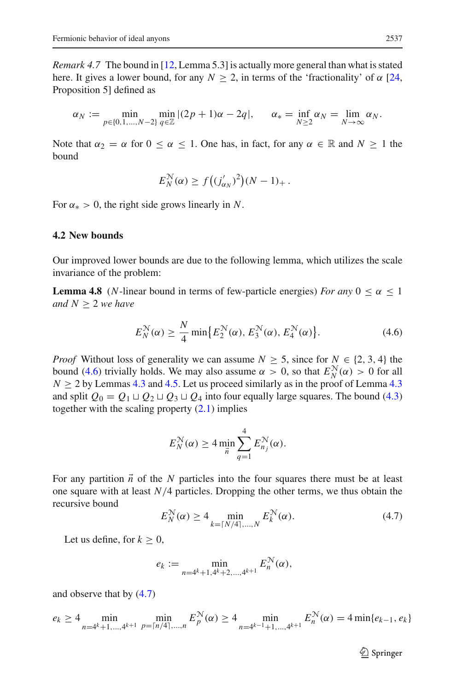*Remark 4.7* The bound in [\[12](#page-18-11), Lemma 5.3] is actually more general than what is stated here. It gives a lower bound, for any  $N \ge 2$ , in terms of the 'fractionality' of  $\alpha$  [\[24,](#page-18-8) Proposition 5] defined as

$$
\alpha_N := \min_{p \in \{0, 1, \dots, N-2\}} \min_{q \in \mathbb{Z}} |(2p+1)\alpha - 2q|, \qquad \alpha_* = \inf_{N \ge 2} \alpha_N = \lim_{N \to \infty} \alpha_N.
$$

Note that  $\alpha_2 = \alpha$  for  $0 \le \alpha \le 1$ . One has, in fact, for any  $\alpha \in \mathbb{R}$  and  $N \ge 1$  the bound

$$
E_N^{\mathcal{N}}(\alpha) \ge f\big((j'_{\alpha_N})^2\big)(N-1)_+.
$$

For  $\alpha_* > 0$ , the right side grows linearly in N.

#### **4.2 New bounds**

<span id="page-14-2"></span>Our improved lower bounds are due to the following lemma, which utilizes the scale invariance of the problem:

**Lemma 4.8** (*N*-linear bound in terms of few-particle energies) *For any*  $0 \le \alpha \le 1$ *and*  $N \geq 2$  *we have* 

<span id="page-14-0"></span>
$$
E_N^{\mathcal{N}}(\alpha) \ge \frac{N}{4} \min \{ E_2^{\mathcal{N}}(\alpha), E_3^{\mathcal{N}}(\alpha), E_4^{\mathcal{N}}(\alpha) \}.
$$
 (4.6)

*Proof* Without loss of generality we can assume  $N \geq 5$ , since for  $N \in \{2, 3, 4\}$  the bound [\(4.6\)](#page-14-0) trivially holds. We may also assume  $\alpha > 0$ , so that  $E_N^N(\alpha) > 0$  for all  $N \geq 2$  by Lemmas [4.3](#page-10-2) and [4.5.](#page-13-0) Let us proceed similarly as in the proof of Lemma 4.3 and split  $Q_0 = Q_1 \sqcup Q_2 \sqcup Q_3 \sqcup Q_4$  into four equally large squares. The bound [\(4.3\)](#page-10-3) together with the scaling property  $(2.1)$  implies

$$
E_N^{\mathcal{N}}(\alpha) \ge 4 \min_{\vec{n}} \sum_{q=1}^4 E_{n_j}^{\mathcal{N}}(\alpha).
$$

For any partition  $\vec{n}$  of the *N* particles into the four squares there must be at least one square with at least  $N/4$  particles. Dropping the other terms, we thus obtain the recursive bound

<span id="page-14-1"></span>
$$
E_N^{\mathcal{N}}(\alpha) \ge 4 \min_{k = \lceil N/4 \rceil, ..., N} E_k^{\mathcal{N}}(\alpha). \tag{4.7}
$$

Let us define, for  $k \geq 0$ ,

$$
e_k := \min_{n=4^k+1,4^k+2,\dots,4^{k+1}} E_n^{\mathcal{N}}(\alpha),
$$

and observe that by [\(4.7\)](#page-14-1)

$$
e_k \ge 4 \min_{n=4^k+1,\dots,4^{k+1}} \min_{p=\lceil n/4\rceil,\dots,n} E_p^{\mathcal{N}}(\alpha) \ge 4 \min_{n=4^{k-1}+1,\dots,4^{k+1}} E_n^{\mathcal{N}}(\alpha) = 4 \min\{e_{k-1}, e_k\}
$$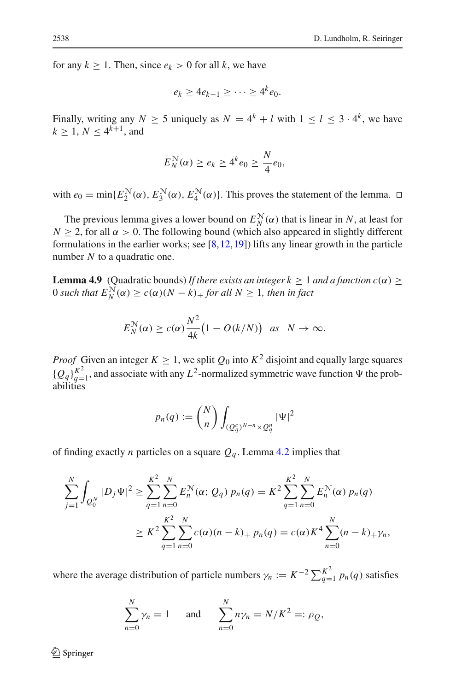for any  $k \ge 1$ . Then, since  $e_k > 0$  for all k, we have

$$
e_k \geq 4e_{k-1} \geq \cdots \geq 4^k e_0.
$$

Finally, writing any  $N \ge 5$  uniquely as  $N = 4^k + l$  with  $1 \le l \le 3 \cdot 4^k$ , we have  $k \ge 1, N \le 4^{k+1}$ , and

$$
E_N^{\mathcal{N}}(\alpha) \ge e_k \ge 4^k e_0 \ge \frac{N}{4}e_0,
$$

with  $e_0 = \min\{E_2^N(\alpha), E_3^N(\alpha), E_4^N(\alpha)\}\)$ . This proves the statement of the lemma.  $\Box$ 

The previous lemma gives a lower bound on  $E_N^{\mathcal{N}}(\alpha)$  that is linear in *N*, at least for  $N \geq 2$ , for all  $\alpha > 0$ . The following bound (which also appeared in slightly different formulations in the earlier works; see  $[8,12,19]$  $[8,12,19]$  $[8,12,19]$  $[8,12,19]$ ) lifts any linear growth in the particle number *N* to a quadratic one.

<span id="page-15-0"></span>**Lemma 4.9** (Quadratic bounds) *If there exists an integer k*  $\geq 1$  *and a function c*( $\alpha$ )  $\geq$  $0$  such that  $E_N^{\mathcal{N}}(\alpha) \ge c(\alpha)(N-k)_+$  for all  $N \ge 1$ , then in fact

$$
E_N^{\mathcal{N}}(\alpha) \ge c(\alpha) \frac{N^2}{4k} \big(1 - O(k/N)\big) \quad \text{as} \quad N \to \infty.
$$

*Proof* Given an integer  $K \geq 1$ , we split  $Q_0$  into  $K^2$  disjoint and equally large squares  ${Q_q}_{q=1}^{K^2}$ , and associate with any  $L^2$ -normalized symmetric wave function  $\Psi$  the probabilities

$$
p_n(q) := \binom{N}{n} \int_{(Q_q^c)^{N-n} \times Q_q^n} |\Psi|^2
$$

of finding exactly *n* particles on a square  $Q_q$ . Lemma [4.2](#page-9-0) implies that

$$
\sum_{j=1}^{N} \int_{Q_0^N} |D_j \Psi|^2 \ge \sum_{q=1}^{K^2} \sum_{n=0}^{N} E_n^{\mathcal{N}}(\alpha; Q_q) p_n(q) = K^2 \sum_{q=1}^{K^2} \sum_{n=0}^{N} E_n^{\mathcal{N}}(\alpha) p_n(q)
$$
  
 
$$
\ge K^2 \sum_{q=1}^{K^2} \sum_{n=0}^{N} c(\alpha) (n-k) + p_n(q) = c(\alpha) K^4 \sum_{n=0}^{N} (n-k) + \gamma_n,
$$

where the average distribution of particle numbers  $\gamma_n := K^{-2} \sum_{q=1}^{K^2} p_n(q)$  satisfies

$$
\sum_{n=0}^{N} \gamma_n = 1 \quad \text{and} \quad \sum_{n=0}^{N} n \gamma_n = N/K^2 =: \rho_Q,
$$

 $\mathcal{L}$  Springer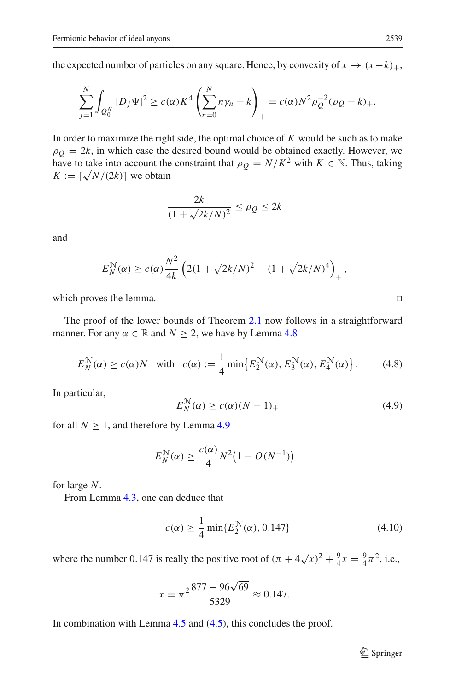the expected number of particles on any square. Hence, by convexity of  $x \mapsto (x-k)_+,$ 

$$
\sum_{j=1}^N \int_{Q_0^N} |D_j \Psi|^2 \ge c(\alpha) K^4 \left( \sum_{n=0}^N n \gamma_n - k \right)_+ = c(\alpha) N^2 \rho_Q^{-2} (\rho_Q - k)_+.
$$

In order to maximize the right side, the optimal choice of *K* would be such as to make  $\rho$ <sub>*Q*</sub> = 2*k*, in which case the desired bound would be obtained exactly. However, we have to take into account the constraint that  $\rho_Q = N/K^2$  with  $K \in \mathbb{N}$ . Thus, taking  $K := \lceil \sqrt{N/(2k)} \rceil$  we obtain

$$
\frac{2k}{(1+\sqrt{2k/N})^2} \le \rho_Q \le 2k
$$

and

$$
E_N^{\mathcal{N}}(\alpha) \ge c(\alpha) \frac{N^2}{4k} \left( 2(1 + \sqrt{2k/N})^2 - (1 + \sqrt{2k/N})^4 \right)_+,
$$

which proves the lemma.  $\Box$ 

The proof of the lower bounds of Theorem [2.1](#page-4-1) now follows in a straightforward manner. For any  $\alpha \in \mathbb{R}$  and  $N > 2$ , we have by Lemma [4.8](#page-14-2)

<span id="page-16-0"></span>
$$
E_N^{\mathcal{N}}(\alpha) \ge c(\alpha)N \quad \text{with} \quad c(\alpha) := \frac{1}{4} \min \{ E_2^{\mathcal{N}}(\alpha), E_3^{\mathcal{N}}(\alpha), E_4^{\mathcal{N}}(\alpha) \} \,. \tag{4.8}
$$

In particular,

<span id="page-16-1"></span>
$$
E_N^{\mathcal{N}}(\alpha) \ge c(\alpha)(N-1)_+ \tag{4.9}
$$

for all  $N > 1$ , and therefore by Lemma [4.9](#page-15-0)

$$
E_N^{\mathcal{N}}(\alpha) \ge \frac{c(\alpha)}{4}N^2\big(1 - O(N^{-1})\big)
$$

for large *N*.

From Lemma [4.3,](#page-10-2) one can deduce that

<span id="page-16-2"></span>
$$
c(\alpha) \ge \frac{1}{4} \min\{E_2^{\mathcal{N}}(\alpha), 0.147\}
$$
 (4.10)

where the number 0.147 is really the positive root of  $(\pi + 4\sqrt{x})^2 + \frac{9}{4}x = \frac{9}{4}\pi^2$ , i.e.,

$$
x = \pi^2 \frac{877 - 96\sqrt{69}}{5329} \approx 0.147.
$$

In combination with Lemma  $4.5$  and  $(4.5)$ , this concludes the proof.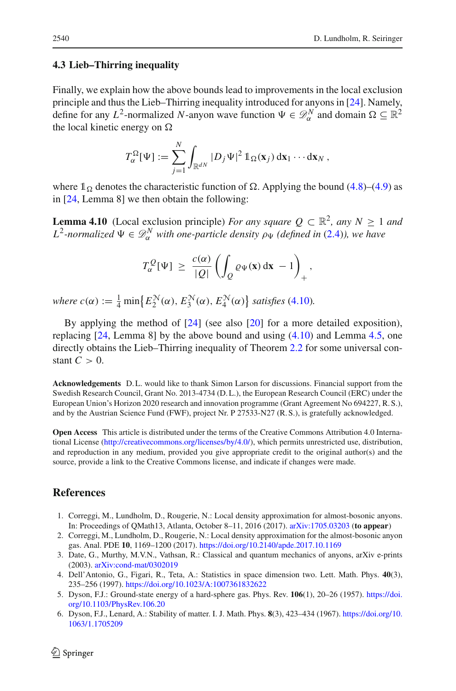#### **4.3 Lieb–Thirring inequality**

Finally, we explain how the above bounds lead to improvements in the local exclusion principle and thus the Lieb–Thirring inequality introduced for anyons in [\[24](#page-18-8)]. Namely, define for any  $L^2$ -normalized *N*-anyon wave function  $\Psi \in \mathcal{D}_{\alpha}^N$  and domain  $\Omega \subseteq \mathbb{R}^2$ the local kinetic energy on  $\Omega$ 

$$
T_{\alpha}^{\Omega}[\Psi] := \sum_{j=1}^N \int_{\mathbb{R}^{dN}} |D_j \Psi|^2 \, \mathbb{1}_{\Omega}(\mathbf{x}_j) \, \mathrm{d}\mathbf{x}_1 \cdots \mathrm{d}\mathbf{x}_N \, ,
$$

where  $\mathbb{1}_{\Omega}$  denotes the characteristic function of  $\Omega$ . Applying the bound [\(4.8\)](#page-16-0)–[\(4.9\)](#page-16-1) as in [\[24](#page-18-8), Lemma 8] we then obtain the following:

**Lemma 4.10** (Local exclusion principle) *For any square Q*  $\subset \mathbb{R}^2$ *, any*  $N \ge 1$  *and*  $L^2$ -normalized  $\Psi \in \mathcal{D}_{\alpha}^N$  with one-particle density  $\rho_{\Psi}$  (defined in [\(2.4\)](#page-5-2)), we have

$$
T_{\alpha}^{\mathcal{Q}}[\Psi] \,\geq\, \frac{c(\alpha)}{|\mathcal{Q}|}\left(\int_{\mathcal{Q}}\varrho_{\Psi}(\mathbf{x})\,\mathrm{d}\mathbf{x}\,-1\right)_{+},
$$

*where*  $c(\alpha) := \frac{1}{4} \min \{ E_2^{\mathcal{N}}(\alpha), E_3^{\mathcal{N}}(\alpha), E_4^{\mathcal{N}}(\alpha) \}$  *satisfies* [\(4.10\)](#page-16-2)*.* 

By applying the method of  $[24]$  (see also  $[20]$  for a more detailed exposition), replacing [\[24](#page-18-8), Lemma 8] by the above bound and using [\(4.10\)](#page-16-2) and Lemma [4.5,](#page-13-0) one directly obtains the Lieb–Thirring inequality of Theorem [2.2](#page-5-0) for some universal constant  $C > 0$ .

**Acknowledgements** D. L. would like to thank Simon Larson for discussions. Financial support from the Swedish Research Council, Grant No. 2013-4734 (D. L.), the European Research Council (ERC) under the European Union's Horizon 2020 research and innovation programme (Grant Agreement No 694227, R. S.), and by the Austrian Science Fund (FWF), project Nr. P 27533-N27 (R. S.), is gratefully acknowledged.

**Open Access** This article is distributed under the terms of the Creative Commons Attribution 4.0 International License [\(http://creativecommons.org/licenses/by/4.0/\)](http://creativecommons.org/licenses/by/4.0/), which permits unrestricted use, distribution, and reproduction in any medium, provided you give appropriate credit to the original author(s) and the source, provide a link to the Creative Commons license, and indicate if changes were made.

## **References**

- <span id="page-17-2"></span>1. Correggi, M., Lundholm, D., Rougerie, N.: Local density approximation for almost-bosonic anyons. In: Proceedings of QMath13, Atlanta, October 8–11, 2016 (2017). [arXiv:1705.03203](http://arxiv.org/abs/1705.03203) (**to appear**)
- <span id="page-17-3"></span>2. Correggi, M., Lundholm, D., Rougerie, N.: Local density approximation for the almost-bosonic anyon gas. Anal. PDE **10**, 1169–1200 (2017). <https://doi.org/10.2140/apde.2017.10.1169>
- <span id="page-17-0"></span>3. Date, G., Murthy, M.V.N., Vathsan, R.: Classical and quantum mechanics of anyons, arXiv e-prints (2003). [arXiv:cond-mat/0302019](http://arxiv.org/abs/cond-mat/0302019)
- <span id="page-17-1"></span>4. Dell'Antonio, G., Figari, R., Teta, A.: Statistics in space dimension two. Lett. Math. Phys. **40**(3), 235–256 (1997). <https://doi.org/10.1023/A:1007361832622>
- <span id="page-17-4"></span>5. Dyson, F.J.: Ground-state energy of a hard-sphere gas. Phys. Rev. **106**(1), 20–26 (1957). [https://doi.](https://doi.org/10.1103/PhysRev.106.20) [org/10.1103/PhysRev.106.20](https://doi.org/10.1103/PhysRev.106.20)
- <span id="page-17-5"></span>6. Dyson, F.J., Lenard, A.: Stability of matter. I. J. Math. Phys. **8**(3), 423–434 (1967). [https://doi.org/10.](https://doi.org/10.1063/1.1705209) [1063/1.1705209](https://doi.org/10.1063/1.1705209)